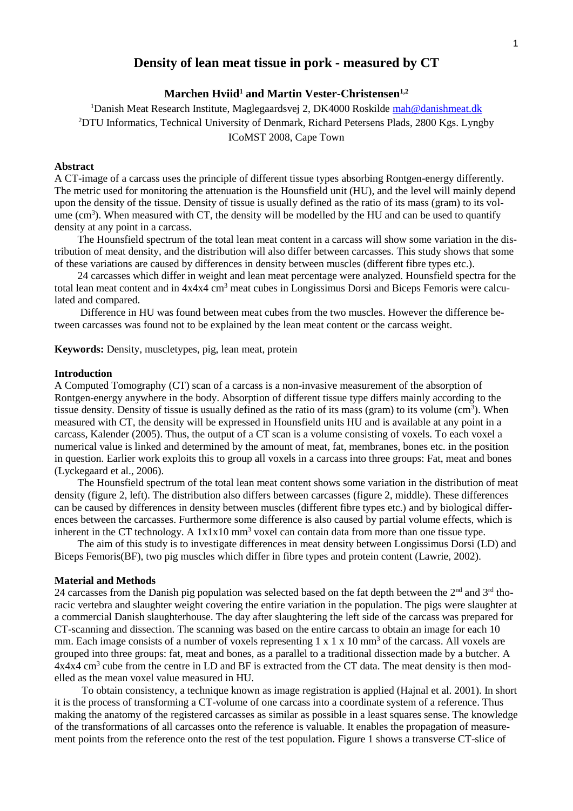# **Density of lean meat tissue in pork - measured by CT**

# **Marchen Hviid<sup>1</sup> and Martin Vester-Christensen1,2**

<sup>1</sup>Danish Meat Research Institute, Maglegaardsvej 2, DK4000 Roskilde [mah@danishmeat.dk](mailto:mah@danishmeat.dk) <sup>2</sup>DTU Informatics, Technical University of Denmark, Richard Petersens Plads, 2800 Kgs. Lyngby ICoMST 2008, Cape Town

## **Abstract**

A CT-image of a carcass uses the principle of different tissue types absorbing Rontgen-energy differently. The metric used for monitoring the attenuation is the Hounsfield unit (HU), and the level will mainly depend upon the density of the tissue. Density of tissue is usually defined as the ratio of its mass (gram) to its volume (cm<sup>3</sup>). When measured with CT, the density will be modelled by the HU and can be used to quantify density at any point in a carcass.

The Hounsfield spectrum of the total lean meat content in a carcass will show some variation in the distribution of meat density, and the distribution will also differ between carcasses. This study shows that some of these variations are caused by differences in density between muscles (different fibre types etc.).

24 carcasses which differ in weight and lean meat percentage were analyzed. Hounsfield spectra for the total lean meat content and in  $4x4x4 \text{ cm}^3$  meat cubes in Longissimus Dorsi and Biceps Femoris were calculated and compared.

Difference in HU was found between meat cubes from the two muscles. However the difference between carcasses was found not to be explained by the lean meat content or the carcass weight.

**Keywords:** Density, muscletypes, pig, lean meat, protein

### **Introduction**

A Computed Tomography (CT) scan of a carcass is a non-invasive measurement of the absorption of Rontgen-energy anywhere in the body. Absorption of different tissue type differs mainly according to the tissue density. Density of tissue is usually defined as the ratio of its mass (gram) to its volume  $(cm<sup>3</sup>)$ . When measured with CT, the density will be expressed in Hounsfield units HU and is available at any point in a carcass, Kalender (2005). Thus, the output of a CT scan is a volume consisting of voxels. To each voxel a numerical value is linked and determined by the amount of meat, fat, membranes, bones etc. in the position in question. Earlier work exploits this to group all voxels in a carcass into three groups: Fat, meat and bones (Lyckegaard et al., 2006).

The Hounsfield spectrum of the total lean meat content shows some variation in the distribution of meat density (figure 2, left). The distribution also differs between carcasses (figure 2, middle). These differences can be caused by differences in density between muscles (different fibre types etc.) and by biological differences between the carcasses. Furthermore some difference is also caused by partial volume effects, which is inherent in the CT technology. A  $1x1x10$  mm<sup>3</sup> voxel can contain data from more than one tissue type.

The aim of this study is to investigate differences in meat density between Longissimus Dorsi (LD) and Biceps Femoris(BF), two pig muscles which differ in fibre types and protein content (Lawrie, 2002).

#### **Material and Methods**

24 carcasses from the Danish pig population was selected based on the fat depth between the 2<sup>nd</sup> and 3<sup>rd</sup> thoracic vertebra and slaughter weight covering the entire variation in the population. The pigs were slaughter at a commercial Danish slaughterhouse. The day after slaughtering the left side of the carcass was prepared for CT-scanning and dissection. The scanning was based on the entire carcass to obtain an image for each 10 mm. Each image consists of a number of voxels representing  $1 \times 1 \times 10$  mm<sup>3</sup> of the carcass. All voxels are grouped into three groups: fat, meat and bones, as a parallel to a traditional dissection made by a butcher. A 4x4x4 cm<sup>3</sup> cube from the centre in LD and BF is extracted from the CT data. The meat density is then modelled as the mean voxel value measured in HU.

To obtain consistency, a technique known as image registration is applied (Hajnal et al. 2001). In short it is the process of transforming a CT-volume of one carcass into a coordinate system of a reference. Thus making the anatomy of the registered carcasses as similar as possible in a least squares sense. The knowledge of the transformations of all carcasses onto the reference is valuable. It enables the propagation of measurement points from the reference onto the rest of the test population. Figure 1 shows a transverse CT-slice of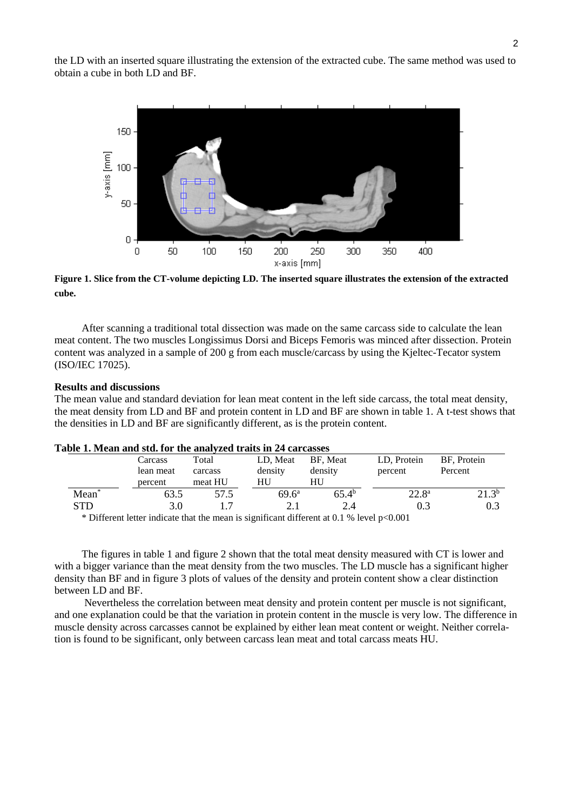the LD with an inserted square illustrating the extension of the extracted cube. The same method was used to obtain a cube in both LD and BF.



**Figure 1. Slice from the CT-volume depicting LD. The inserted square illustrates the extension of the extracted cube.**

After scanning a traditional total dissection was made on the same carcass side to calculate the lean meat content. The two muscles Longissimus Dorsi and Biceps Femoris was minced after dissection. Protein content was analyzed in a sample of 200 g from each muscle/carcass by using the Kjeltec-Tecator system (ISO/IEC 17025).

### **Results and discussions**

The mean value and standard deviation for lean meat content in the left side carcass, the total meat density, the meat density from LD and BF and protein content in LD and BF are shown in table 1. A t-test shows that the densities in LD and BF are significantly different, as is the protein content.

| abic 1. Mcall and std. for the analyzed trans in 24 carcasses |                                                                                                           |         |                |                   |                |             |
|---------------------------------------------------------------|-----------------------------------------------------------------------------------------------------------|---------|----------------|-------------------|----------------|-------------|
|                                                               | Carcass                                                                                                   | Total   | LD. Meat       | BF. Meat          | LD, Protein    | BF, Protein |
|                                                               | lean meat                                                                                                 | carcass | density        | density           | percent        | Percent     |
|                                                               | percent                                                                                                   | meat HU | HU             | HU                |                |             |
| Mean <sup>*</sup>                                             | 63.5                                                                                                      | 57.5    | $69.6^{\rm a}$ | 65.4 <sup>b</sup> | $22.8^{\rm a}$ | $21.3^{b}$  |
| <b>STD</b>                                                    | 3.0                                                                                                       |         |                | 2.4               |                | 0.3         |
|                                                               | $\star$ Different letter in direct that the masses is similar at 4:00 peach of 0.1 0/ 1. and $\sim$ 0.001 |         |                |                   |                |             |

Different letter indicate that the mean is significant different at 0.1 % level  $p<0.001$ 

The figures in table 1 and figure 2 shown that the total meat density measured with CT is lower and with a bigger variance than the meat density from the two muscles. The LD muscle has a significant higher density than BF and in figure 3 plots of values of the density and protein content show a clear distinction between LD and BF.

Nevertheless the correlation between meat density and protein content per muscle is not significant, and one explanation could be that the variation in protein content in the muscle is very low. The difference in muscle density across carcasses cannot be explained by either lean meat content or weight. Neither correlation is found to be significant, only between carcass lean meat and total carcass meats HU.